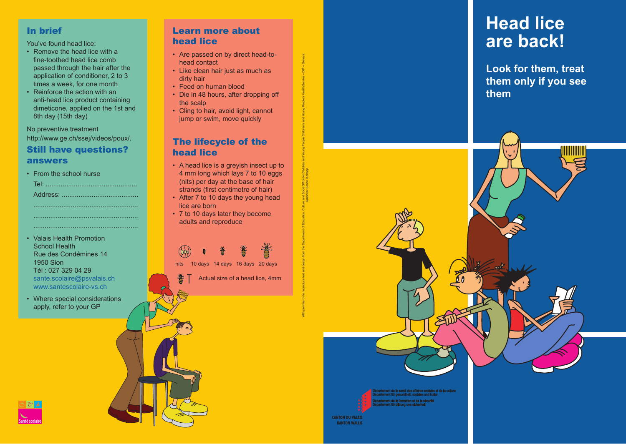# In brief

You've found head lice:

- Remove the head lice with a fine-toothed head lice comb passed through the hair after the application of conditioner, 2 to 3 times a week, for one month
- Reinforce the action with an anti-head lice product containing dimeticone, applied on the 1st and 8th day (15th day)

No preventive treatment http://www.ge.ch/ssej/videos/poux/.

## Still have questions? answers

| • From the school nurse |
|-------------------------|
|                         |
|                         |
|                         |
|                         |
|                         |

- Valais Health Promotion School Health Rue des Condémines 14 1950 Sion Tél : 027 329 04 29 sante.scolaire@psvalais.ch www.santescolaire-vs.ch
- Where special considerations apply, refer to your GP

# Learn more about head lice

- Are passed on by direct head-tohead contact
- Like clean hair just as much as dirty hair
- Feed on human blood
- Die in 48 hours, after dropping off the scalp
- Cling to hair, avoid light, cannot jump or swim, move quickly

# The lifecycle of the head lice

• A head lice is a greyish insect up to 4 mm long which lays 7 to 10 eggs (nits) per day at the base of hair strands (first centimetre of hair)

With permission to reproduce text and design from the Department of Education, Culture and Sport Office for Children and Young People's Health Service – DIP – Geneva. Graphics: Simon Tschopp

- After 7 to 10 days the young head lice are born
- 7 to 10 days later they become adults and reproduce

nits 10 days 14 days 16 days 20 days





**Look for them, treat them only if you see them**



**CANTON DU VALAIS KANTON WALLIS**